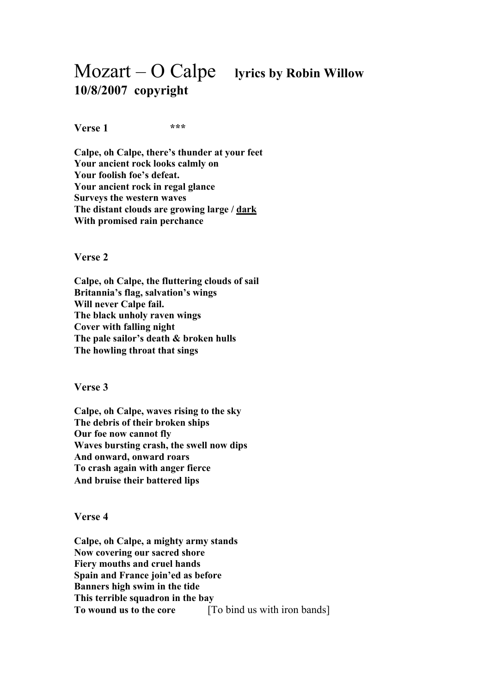## Mozart – O Calpe **lyrics by Robin Willow 10/8/2007 copyright**

**Verse 1 \*\*\***

**Calpe, oh Calpe, there's thunder at your feet Your ancient rock looks calmly on Your foolish foe's defeat. Your ancient rock in regal glance Surveys the western waves The distant clouds are growing large / dark With promised rain perchance** 

**Verse 2**

**Calpe, oh Calpe, the fluttering clouds of sail Britannia's flag, salvation's wings Will never Calpe fail. The black unholy raven wings Cover with falling night The pale sailor's death & broken hulls The howling throat that sings**

**Verse 3**

**Calpe, oh Calpe, waves rising to the sky The debris of their broken ships Our foe now cannot fly Waves bursting crash, the swell now dips And onward, onward roars To crash again with anger fierce And bruise their battered lips**

**Verse 4**

**Calpe, oh Calpe, a mighty army stands Now covering our sacred shore Fiery mouths and cruel hands Spain and France join'ed as before Banners high swim in the tide This terrible squadron in the bay To wound us to the core** [To bind us with iron bands]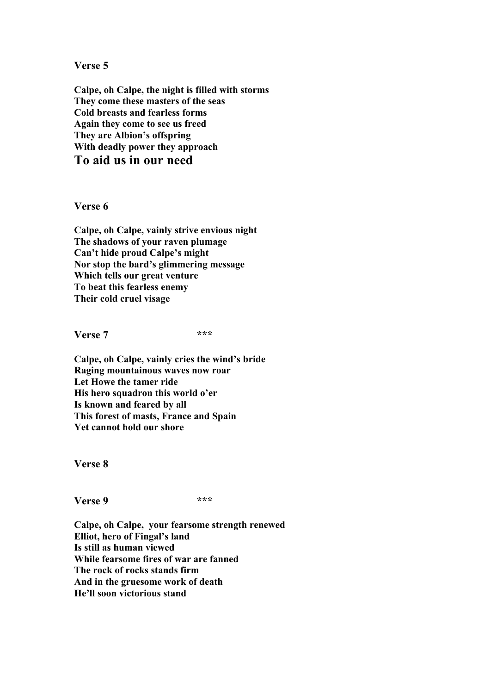**Verse 5**

**Calpe, oh Calpe, the night is filled with storms They come these masters of the seas Cold breasts and fearless forms Again they come to see us freed They are Albion's offspring With deadly power they approach To aid us in our need**

**Verse 6**

**Calpe, oh Calpe, vainly strive envious night The shadows of your raven plumage Can't hide proud Calpe's might Nor stop the bard's glimmering message Which tells our great venture To beat this fearless enemy Their cold cruel visage**

**Verse 7 \*\*\***

**Calpe, oh Calpe, vainly cries the wind's bride Raging mountainous waves now roar Let Howe the tamer ride His hero squadron this world o'er Is known and feared by all This forest of masts, France and Spain Yet cannot hold our shore**

**Verse 8**

**Verse 9 \*\*\***

**Calpe, oh Calpe, your fearsome strength renewed Elliot, hero of Fingal's land Is still as human viewed While fearsome fires of war are fanned The rock of rocks stands firm And in the gruesome work of death He'll soon victorious stand**